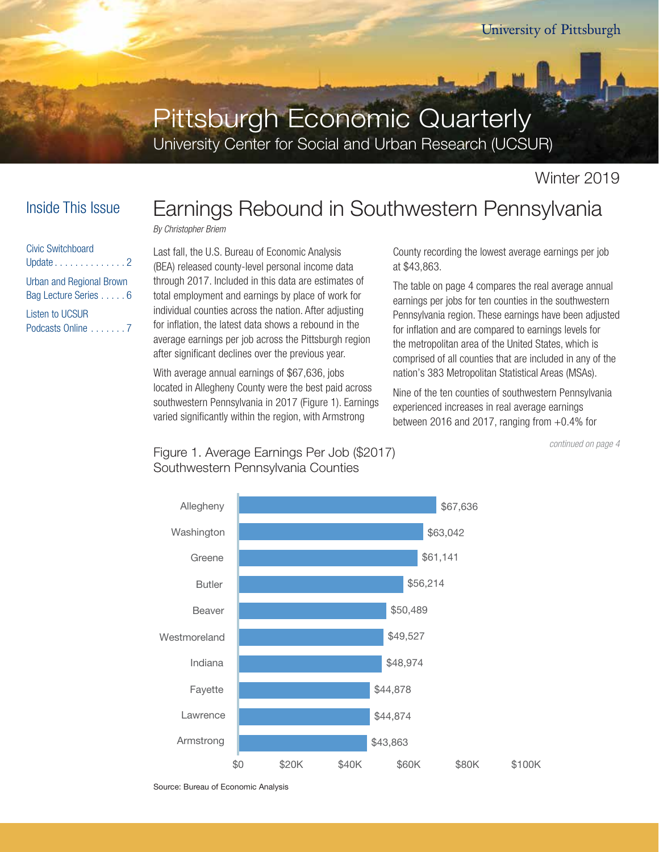# Pittsburgh Economic Quarterly

University Center for Social and Urban Research (UCSUR)

## Inside This Issue

| Civic Switchboard                                |
|--------------------------------------------------|
| Update 2                                         |
| Urban and Regional Brown<br>Bag Lecture Series 6 |
| <b>Listen to UCSUR</b>                           |
| Podcasts Online 7                                |

# Earnings Rebound in Southwestern Pennsylvania

*By Christopher Briem*

Last fall, the U.S. Bureau of Economic Analysis (BEA) released county-level personal income data through 2017. Included in this data are estimates of total employment and earnings by place of work for individual counties across the nation. After adjusting for inflation, the latest data shows a rebound in the average earnings per job across the Pittsburgh region after significant declines over the previous year.

With average annual earnings of \$67,636, jobs located in Allegheny County were the best paid across southwestern Pennsylvania in 2017 (Figure 1). Earnings varied significantly within the region, with Armstrong

County recording the lowest average earnings per job at \$43,863.

The table on page 4 compares the real average annual earnings per jobs for ten counties in the southwestern Pennsylvania region. These earnings have been adjusted for inflation and are compared to earnings levels for the metropolitan area of the United States, which is comprised of all counties that are included in any of the nation's 383 Metropolitan Statistical Areas (MSAs).

Nine of the ten counties of southwestern Pennsylvania experienced increases in real average earnings between 2016 and 2017, ranging from  $+0.4\%$  for

*continued on page 4*



Figure 1. Average Earnings Per Job (\$2017) Southwestern Pennsylvania Counties

Source: Bureau of Economic Analysis Source: Bureau of Economic Analysis

Winter 2019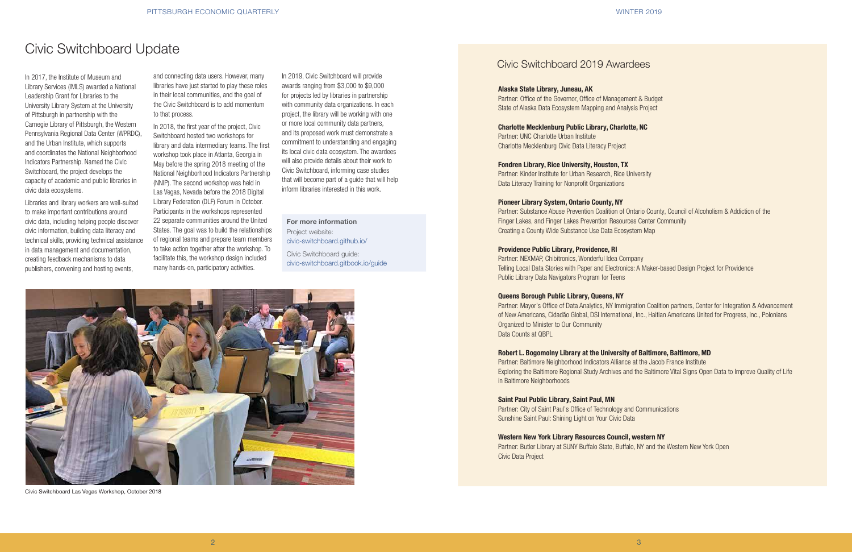In 2017, the Institute of Museum and Library Services (IMLS) awarded a National Leadership Grant for Libraries to the University Library System at the University of Pittsburgh in partnership with the Carnegie Library of Pittsburgh, the Western Pennsylvania Regional Data Center (WPRDC), and the Urban Institute, which supports and coordinates the National Neighborhood Indicators Partnership. Named the Civic Switchboard, the project develops the capacity of academic and public libraries in civic data ecosystems.

Libraries and library workers are well-suited to make important contributions around civic data, including helping people discover civic information, building data literacy and technical skills, providing technical assistance in data management and documentation, creating feedback mechanisms to data publishers, convening and hosting events,

## Civic Switchboard 2019 Awardees

# Civic Switchboard Update

#### For more information

Project website: civic-switchboard.github.io/

Civic Switchboard guide: civic-switchboard.gitbook.io/guide

#### Alaska State Library, Juneau, AK

Partner: Office of the Governor, Office of Management & Budget State of Alaska Data Ecosystem Mapping and Analysis Project

## Charlotte Mecklenburg Public Library, Charlotte, NC Partner: UNC Charlotte Urban Institute Charlotte Mecklenburg Civic Data Literacy Project

Fondren Library, Rice University, Houston, TX Partner: Kinder Institute for Urban Research, Rice University Data Literacy Training for Nonprofit Organizations

#### Pioneer Library System, Ontario County, NY

Partner: Substance Abuse Prevention Coalition of Ontario County, Council of Alcoholism & Addiction of the Finger Lakes, and Finger Lakes Prevention Resources Center Community Creating a County Wide Substance Use Data Ecosystem Map

#### Providence Public Library, Providence, RI

Partner: NEXMAP, Chibitronics, Wonderful Idea Company Telling Local Data Stories with Paper and Electronics: A Maker-based Design Project for Providence Public Library Data Navigators Program for Teens

#### Queens Borough Public Library, Queens, NY

Partner: Mayor's Office of Data Analytics, NY Immigration Coalition partners, Center for Integration & Advancement of New Americans, Cidadão Global, DSI International, Inc., Haitian Americans United for Progress, Inc., Polonians Organized to Minister to Our Community Data Counts at QBPL

### Robert L. Bogomolny Library at the University of Baltimore, Baltimore, MD

Partner: Baltimore Neighborhood Indicators Alliance at the Jacob France Institute Exploring the Baltimore Regional Study Archives and the Baltimore Vital Signs Open Data to Improve Quality of Life in Baltimore Neighborhoods

#### Saint Paul Public Library, Saint Paul, MN

Partner: City of Saint Paul's Office of Technology and Communications Sunshine Saint Paul: Shining Light on Your Civic Data

#### Western New York Library Resources Council, western NY

Partner: Butler Library at SUNY Buffalo State, Buffalo, NY and the Western New York Open Civic Data Project



Civic Switchboard Las Vegas Workshop, October 2018

and connecting data users. However, many libraries have just started to play these roles in their local communities, and the goal of the Civic Switchboard is to add momentum to that process.

In 2018, the first year of the project, Civic Switchboard hosted two workshops for library and data intermediary teams. The first workshop took place in Atlanta, Georgia in May before the spring 2018 meeting of the National Neighborhood Indicators Partnership (NNIP). The second workshop was held in Las Vegas, Nevada before the 2018 Digital Library Federation (DLF) Forum in October. Participants in the workshops represented 22 separate communities around the United States. The goal was to build the relationships of regional teams and prepare team members to take action together after the workshop. To facilitate this, the workshop design included many hands-on, participatory activities.

In 2019, Civic Switchboard will provide awards ranging from \$3,000 to \$9,000 for projects led by libraries in partnership with community data organizations. In each project, the library will be working with one or more local community data partners, and its proposed work must demonstrate a commitment to understanding and engaging its local civic data ecosystem. The awardees will also provide details about their work to Civic Switchboard, informing case studies that will become part of a guide that will help inform libraries interested in this work.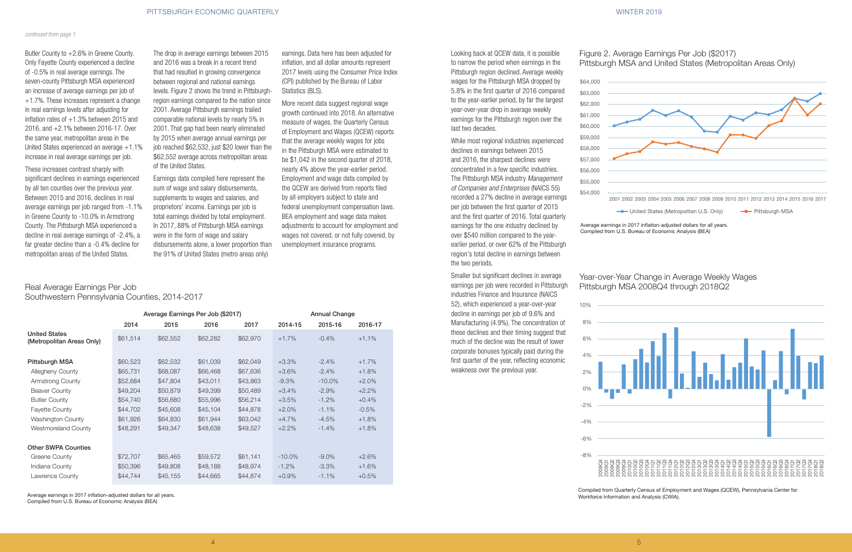earnings. Data here has been adjusted for inflation, and all dollar amounts represent 2017 levels using the Consumer Price Index (CPI) published by the Bureau of Labor Statistics (BLS).

More recent data suggest regional wage growth continued into 2018. An alternative measure of wages, the Quarterly Census of Employment and Wages (QCEW) reports that the average weekly wages for jobs in the Pittsburgh MSA were estimated to be \$1,042 in the second quarter of 2018, nearly 4% above the year-earlier period. Employment and wage data compiled by the QCEW are derived from reports filed by all employers subject to state and federal unemployment compensation laws. BEA employment and wage data makes adjustments to account for employment and wages not covered, or not fully covered, by unemployment insurance programs.

Butler County to +2.6% in Greene County. Only Fayette County experienced a decline of -0.5% in real average earnings. The seven-county Pittsburgh MSA experienced an increase of average earnings per job of +1.7%. These increases represent a change in real earnings levels after adjusting for inflation rates of  $+1.3\%$  between 2015 and 2016, and +2.1% between 2016-17. Over the same year, metropolitan areas in the United States experienced an average +1.1% increase in real average earnings per job.

These increases contrast sharply with significant declines in earnings experienced by all ten counties over the previous year. Between 2015 and 2016, declines in real average earnings per job ranged from -1.1% in Greene County to -10.0% in Armstrong County. The Pittsburgh MSA experienced a decline in real average earnings of -2.4%, a far greater decline than a -0.4% decline for metropolitan areas of the United States.

The drop in average earnings between 2015 and 2016 was a break in a recent trend that had resulted in growing convergence between regional and national earnings levels. Figure 2 shows the trend in Pittsburghregion earnings compared to the nation since 2001. Average Pittsburgh earnings trailed comparable national levels by nearly 5% in 2001. That gap had been nearly eliminated by 2015 when average annual earnings per job reached \$62,532, just \$20 lower than the \$62,552 average across metropolitan areas of the United States.

Earnings data compiled here represent the sum of wage and salary disbursements, supplements to wages and salaries, and proprietors' income. Earnings per job is total earnings divided by total employment. In 2017, 88% of Pittsburgh MSA earnings were in the form of wage and salary disbursements alone, a lower proportion than the 91% of United States (metro areas only)

Real Average Earnings Per Job Southwestern Pennsylvania Counties, 2014-2017

|                                                   |          | Average Earnings Per Job (\$2017) |          | <b>Annual Change</b> |           |           |         |
|---------------------------------------------------|----------|-----------------------------------|----------|----------------------|-----------|-----------|---------|
|                                                   | 2014     | 2015                              | 2016     | 2017                 | 2014-15   | 2015-16   | 2016-17 |
| <b>United States</b><br>(Metropolitan Areas Only) | \$61,514 | \$62,552                          | \$62,282 | \$62,970             | $+1.7%$   | $-0.4%$   | $+1.1%$ |
| Pittsburgh MSA                                    | \$60,523 | \$62,532                          | \$61,039 | \$62,049             | $+3.3\%$  | $-2.4\%$  | $+1.7%$ |
| Allegheny County                                  | \$65,731 | \$68,087                          | \$66,468 | \$67,636             | $+3.6%$   | $-2.4%$   | $+1.8%$ |
| Armstrong County                                  | \$52,684 | \$47,804                          | \$43,011 | \$43,863             | $-9.3%$   | $-10.0\%$ | $+2.0%$ |
| <b>Beaver County</b>                              | \$49,204 | \$50,879                          | \$49,399 | \$50,489             | $+3.4%$   | $-2.9\%$  | $+2.2%$ |
| <b>Butler County</b>                              | \$54,740 | \$56,680                          | \$55,996 | \$56,214             | $+3.5%$   | $-1.2%$   | $+0.4%$ |
| <b>Fayette County</b>                             | \$44,702 | \$45,608                          | \$45,104 | \$44,878             | $+2.0%$   | $-1.1%$   | $-0.5%$ |
| Washington County                                 | \$61,926 | \$64,830                          | \$61,944 | \$63,042             | $+4.7%$   | $-4.5%$   | $+1.8%$ |
| Westmoreland County                               | \$48,291 | \$49,347                          | \$48,638 | \$49,527             | $+2.2%$   | $-1.4%$   | $+1.8%$ |
| <b>Other SWPA Counties</b>                        |          |                                   |          |                      |           |           |         |
| Greene County                                     | \$72,707 | \$65,465                          | \$59,572 | \$61,141             | $-10.0\%$ | $-9.0\%$  | $+2.6%$ |
| Indiana County                                    | \$50,396 | \$49,808                          | \$48,188 | \$48,974             | $-1.2\%$  | $-3.3\%$  | $+1.6%$ |
| Lawrence County                                   | \$44,744 | \$45,155                          | \$44,665 | \$44,874             | $+0.9%$   | $-1.1%$   | $+0.5%$ |

Average earnings in 2017 inflation-adjusted dollars for all years. Compiled from U.S. Bureau of Economic Analysis (BEA)

Figure 2. Average Earnings Per Job (\$2017) Pittsburgh MSA and United States (Metropolitan Areas Only)

| Figure 2. Ave |  |
|---------------|--|
| Pittsburgh M  |  |
| \$64,000      |  |

## Year-over-Year Change in Average Weekly Wages Pittsburgh MSA 2008Q4 through 2018Q2





Compiled from Quarterly Census of Employment and Wages (QCEW), Pennsylvania Center for Workforce Information and Analysis (CWIA).

## Looking back at QCEW data, it is possible to narrow the period when earnings in the Pittsburgh region declined. Average weekly wages for the Pittsburgh MSA dropped by 5.8% in the first quarter of 2016 compared to the year-earlier period, by far the largest year-over-year drop in average weekly earnings for the Pittsburgh region over the last two decades.

While most regional industries experienced declines in earnings between 2015 and 2016, the sharpest declines were concentrated in a few specific industries. The Pittsburgh MSA industry *Management of Companies and Enterprises* (NAICS 55) recorded a 27% decline in average earnings per job between the first quarter of 2015 and the first quarter of 2016. Total quarterly earnings for the one industry declined by over \$540 million compared to the yearearlier period, or over 62% of the Pittsburgh region's total decline in earnings between the two periods.

Smaller but significant declines in average earnings per job were recorded in Pittsburgh industries Finance and Insurance (NAICS 52), which experienced a year-over-year decline in earnings per job of 9.6% and Manufacturing (4.9%). The concentration of these declines and their timing suggest that much of the decline was the result of lower corporate bonuses typically paid during the first quarter of the year, reflecting economic weakness over the previous year.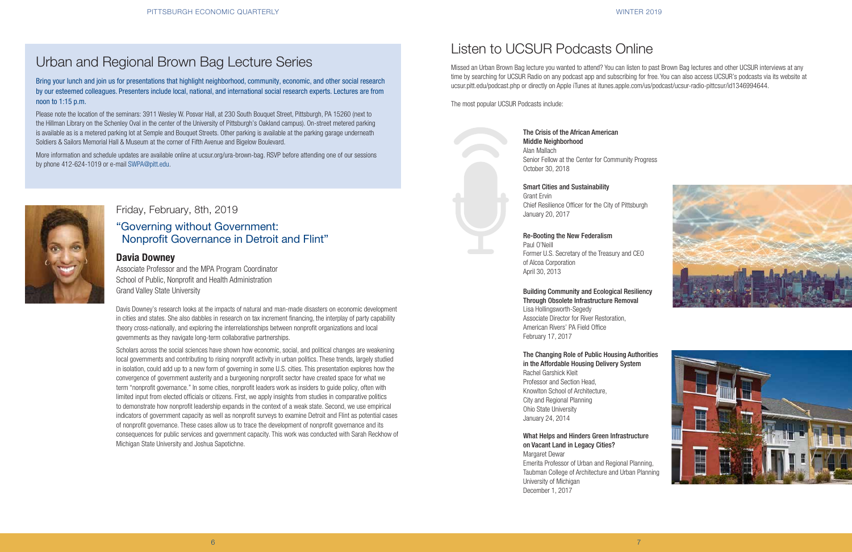



Bring your lunch and join us for presentations that highlight neighborhood, community, economic, and other social research by our esteemed colleagues. Presenters include local, national, and international social research experts. Lectures are from noon to 1:15 p.m.

Please note the location of the seminars: 3911 Wesley W. Posvar Hall, at 230 South Bouquet Street, Pittsburgh, PA 15260 (next to the Hillman Library on the Schenley Oval in the center of the University of Pittsburgh's Oakland campus). On-street metered parking is available as is a metered parking lot at Semple and Bouquet Streets. Other parking is available at the parking garage underneath Soldiers & Sailors Memorial Hall & Museum at the corner of Fifth Avenue and Bigelow Boulevard.

More information and schedule updates are available online at ucsur.org/ura-brown-bag. RSVP before attending one of our sessions by phone 412-624-1019 or e-mail SWPA@pitt.edu.



# Urban and Regional Brown Bag Lecture Series

## Friday, February, 8th, 2019

## "Governing without Government: Nonprofit Governance in Detroit and Flint"

## Davia Downey

Associate Professor and the MPA Program Coordinator School of Public, Nonprofit and Health Administration Grand Valley State University

Davis Downey's research looks at the impacts of natural and man-made disasters on economic development in cities and states. She also dabbles in research on tax increment financing, the interplay of party capability theory cross-nationally, and exploring the interrelationships between nonprofit organizations and local governments as they navigate long-term collaborative partnerships.

Scholars across the social sciences have shown how economic, social, and political changes are weakening local governments and contributing to rising nonprofit activity in urban politics. These trends, largely studied in isolation, could add up to a new form of governing in some U.S. cities. This presentation explores how the convergence of government austerity and a burgeoning nonprofit sector have created space for what we term "nonprofit governance." In some cities, nonprofit leaders work as insiders to guide policy, often with limited input from elected officials or citizens. First, we apply insights from studies in comparative politics to demonstrate how nonprofit leadership expands in the context of a weak state. Second, we use empirical indicators of government capacity as well as nonprofit surveys to examine Detroit and Flint as potential cases of nonprofit governance. These cases allow us to trace the development of nonprofit governance and its consequences for public services and government capacity. This work was conducted with Sarah Reckhow of Michigan State University and Joshua Sapotichne.

# Listen to UCSUR Podcasts Online

Missed an Urban Brown Bag lecture you wanted to attend? You can listen to past Brown Bag lectures and other UCSUR interviews at any time by searching for UCSUR Radio on any podcast app and subscribing for free. You can also access UCSUR's podcasts via its website at ucsur.pitt.edu/podcast.php or directly on Apple iTunes at itunes.apple.com/us/podcast/ucsur-radio-pittcsur/id1346994644.

The most popular UCSUR Podcasts include:

The Crisis of the African American Middle Neighborhood Alan Mallach Senior Fellow at the Center for Community Progress

October 30, 2018

## Smart Cities and Sustainability

Grant Ervin Chief Resilience Officer for the City of Pittsburgh January 20, 2017

## Re-Booting the New Federalism

Paul O'Neill Former U.S. Secretary of the Treasury and CEO of Alcoa Corporation April 30, 2013

## Building Community and Ecological Resiliency Through Obsolete Infrastructure Removal Lisa Hollingsworth-Segedy Associate Director for River Restoration, American Rivers' PA Field Office February 17, 2017

## The Changing Role of Public Housing Authorities in the Affordable Housing Delivery System Rachel Garshick Kleit Professor and Section Head, Knowlton School of Architecture, City and Regional Planning Ohio State University January 24, 2014

## What Helps and Hinders Green Infrastructure on Vacant Land in Legacy Cities?

Margaret Dewar Emerita Professor of Urban and Regional Planning, Taubman College of Architecture and Urban Planning University of Michigan December 1, 2017